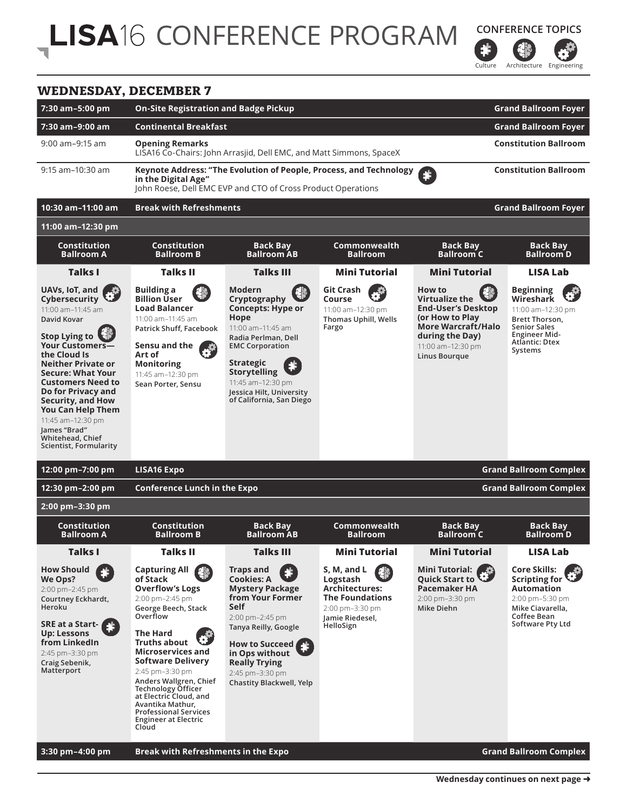

## **WEDNESDAY, DECEMBER 7**

| 7:30 am-5:00 pm                                                                                                                                                                                                                                                                                                                                                         | <b>On-Site Registration and Badge Pickup</b>                                                                                                                                                                                                                                                                                                                                                                                |                                                                                                                                                                                                                                                                        |                                                                                                                               | <b>Grand Ballroom Foyer</b>                                                                                                                             |                                                                                                                                           |
|-------------------------------------------------------------------------------------------------------------------------------------------------------------------------------------------------------------------------------------------------------------------------------------------------------------------------------------------------------------------------|-----------------------------------------------------------------------------------------------------------------------------------------------------------------------------------------------------------------------------------------------------------------------------------------------------------------------------------------------------------------------------------------------------------------------------|------------------------------------------------------------------------------------------------------------------------------------------------------------------------------------------------------------------------------------------------------------------------|-------------------------------------------------------------------------------------------------------------------------------|---------------------------------------------------------------------------------------------------------------------------------------------------------|-------------------------------------------------------------------------------------------------------------------------------------------|
| 7:30 am-9:00 am                                                                                                                                                                                                                                                                                                                                                         | <b>Continental Breakfast</b>                                                                                                                                                                                                                                                                                                                                                                                                |                                                                                                                                                                                                                                                                        |                                                                                                                               | <b>Grand Ballroom Foyer</b>                                                                                                                             |                                                                                                                                           |
| $9:00$ am-9:15 am                                                                                                                                                                                                                                                                                                                                                       | <b>Opening Remarks</b><br><b>Constitution Ballroom</b><br>LISA16 Co-Chairs: John Arrasjid, Dell EMC, and Matt Simmons, SpaceX                                                                                                                                                                                                                                                                                               |                                                                                                                                                                                                                                                                        |                                                                                                                               |                                                                                                                                                         |                                                                                                                                           |
| 9:15 am-10:30 am                                                                                                                                                                                                                                                                                                                                                        | Keynote Address: "The Evolution of People, Process, and Technology<br>in the Digital Age"<br>John Roese, Dell EMC EVP and CTO of Cross Product Operations                                                                                                                                                                                                                                                                   | H                                                                                                                                                                                                                                                                      | <b>Constitution Ballroom</b>                                                                                                  |                                                                                                                                                         |                                                                                                                                           |
| 10:30 am-11:00 am                                                                                                                                                                                                                                                                                                                                                       | <b>Break with Refreshments</b>                                                                                                                                                                                                                                                                                                                                                                                              |                                                                                                                                                                                                                                                                        |                                                                                                                               |                                                                                                                                                         | <b>Grand Ballroom Foyer</b>                                                                                                               |
| 11:00 am-12:30 pm                                                                                                                                                                                                                                                                                                                                                       |                                                                                                                                                                                                                                                                                                                                                                                                                             |                                                                                                                                                                                                                                                                        |                                                                                                                               |                                                                                                                                                         |                                                                                                                                           |
| Constitution<br><b>Ballroom A</b>                                                                                                                                                                                                                                                                                                                                       | Constitution<br><b>Ballroom B</b>                                                                                                                                                                                                                                                                                                                                                                                           | <b>Back Bay</b><br><b>Ballroom AB</b>                                                                                                                                                                                                                                  | Commonwealth<br><b>Ballroom</b>                                                                                               | <b>Back Bay</b><br><b>Ballroom C</b>                                                                                                                    | <b>Back Bay</b><br><b>Ballroom D</b>                                                                                                      |
| Talks I                                                                                                                                                                                                                                                                                                                                                                 | Talks II                                                                                                                                                                                                                                                                                                                                                                                                                    | <b>Talks III</b>                                                                                                                                                                                                                                                       | <b>Mini Tutorial</b>                                                                                                          | <b>Mini Tutorial</b>                                                                                                                                    | LISA Lab                                                                                                                                  |
| UAVs, IoT, and<br>w<br>Cybersecurity<br>11:00 am-11:45 am<br>David Kovar<br>Stop Lying to Ch<br>Your Customers-<br>the Cloud Is<br>Neither Private or<br>Secure: What Your<br><b>Customers Need to</b><br>Do for Privacy and<br><b>Security, and How</b><br><b>You Can Help Them</b><br>11:45 am-12:30 pm<br>James "Brad"<br>Whitehead, Chief<br>Scientist, Formularity | <b>Building a</b><br><b>Billion User</b><br><b>Load Balancer</b><br>11:00 am-11:45 am<br><b>Patrick Shuff, Facebook</b><br>Sensu and the<br>$\phi^0$<br>Art of<br><b>Monitoring</b><br>11:45 am-12:30 pm<br>Sean Porter, Sensu                                                                                                                                                                                              | <b>Modern</b><br>SP.<br>Cryptography<br><b>Concepts: Hype or</b><br>Hope<br>11:00 am-11:45 am<br>Radia Perlman, Dell<br><b>EMC Corporation</b><br><b>Strategic</b><br><b>Storytelling</b><br>11:45 am-12:30 pm<br>Jessica Hilt, University<br>of California, San Diego | Git Crash<br>Course<br>11:00 am-12:30 pm<br><b>Thomas Uphill, Wells</b><br>Fargo                                              | How to<br>Virtualize the<br><b>End-User's Desktop</b><br>(or How to Play<br>More Warcraft/Halo<br>during the Day)<br>11:00 am-12:30 pm<br>Linus Bourque | <b>Beginning</b><br>Wireshark<br>11:00 am-12:30 pm<br>Brett Thorson,<br><b>Senior Sales</b><br>Engineer Mid-<br>Atlantic: Dtex<br>Systems |
| 12:00 pm-7:00 pm                                                                                                                                                                                                                                                                                                                                                        | <b>LISA16 Expo</b>                                                                                                                                                                                                                                                                                                                                                                                                          |                                                                                                                                                                                                                                                                        |                                                                                                                               |                                                                                                                                                         | <b>Grand Ballroom Complex</b>                                                                                                             |
| 12:30 pm-2:00 pm                                                                                                                                                                                                                                                                                                                                                        | <b>Conference Lunch in the Expo</b>                                                                                                                                                                                                                                                                                                                                                                                         |                                                                                                                                                                                                                                                                        |                                                                                                                               |                                                                                                                                                         | <b>Grand Ballroom Complex</b>                                                                                                             |
| 2:00 pm-3:30 pm                                                                                                                                                                                                                                                                                                                                                         |                                                                                                                                                                                                                                                                                                                                                                                                                             |                                                                                                                                                                                                                                                                        |                                                                                                                               |                                                                                                                                                         |                                                                                                                                           |
| <b>Constitution</b><br><b>Ballroom A</b>                                                                                                                                                                                                                                                                                                                                | <b>Constitution</b><br><b>Ballroom B</b>                                                                                                                                                                                                                                                                                                                                                                                    | <b>Back Bay</b><br><b>Ballroom AB</b>                                                                                                                                                                                                                                  | Commonwealth<br><b>Ballroom</b>                                                                                               | <b>Back Bay</b><br><b>Ballroom C</b>                                                                                                                    | <b>Back Bay</b><br><b>Ballroom D</b>                                                                                                      |
| <b>Talks I</b>                                                                                                                                                                                                                                                                                                                                                          | <b>Talks II</b>                                                                                                                                                                                                                                                                                                                                                                                                             | <b>Talks III</b>                                                                                                                                                                                                                                                       | <b>Mini Tutorial</b>                                                                                                          | <b>Mini Tutorial</b>                                                                                                                                    | <b>LISA Lab</b>                                                                                                                           |
| <b>How Should</b><br>We Ops?<br>2:00 pm-2:45 pm<br>Courtney Eckhardt,<br>Heroku<br>SRE at a Start-<br><b>Up: Lessons</b><br>from LinkedIn<br>2:45 pm-3:30 pm<br>Craig Sebenik,<br>Matterport                                                                                                                                                                            | <b>Capturing All</b><br>of Stack<br><b>Overflow's Logs</b><br>2:00 pm-2:45 pm<br>George Beech, Stack<br>Overflow<br>The Hard<br>$\mathbb{G}$<br><b>Truths about</b><br><b>Microservices and</b><br><b>Software Delivery</b><br>2:45 pm-3:30 pm<br>Anders Wallgren, Chief<br><b>Technology Officer</b><br>at Electric Cloud, and<br>Avantika Mathur,<br><b>Professional Services</b><br><b>Engineer at Electric</b><br>Cloud | Traps and<br><b>Cookies: A</b><br><b>Mystery Package</b><br>from Your Former<br><b>Self</b><br>2:00 pm-2:45 pm<br>Tanya Reilly, Google<br>How to Succeed<br>in Ops without<br><b>Really Trying</b><br>2:45 pm-3:30 pm<br>Chastity Blackwell, Yelp                      | S, M, and L<br>Logstash<br><b>Architectures:</b><br><b>The Foundations</b><br>2:00 pm-3:30 pm<br>Jamie Riedesel,<br>HelloSign | Mini Tutorial:<br>$\mathcal{L}$<br>Quick Start to<br><b>Pacemaker HA</b><br>$2:00 \text{ pm}-3:30 \text{ pm}$<br>Mike Diehn                             | <b>Core Skills:</b><br>Scripting for<br><b>Automation</b><br>2:00 pm-5:30 pm<br>Mike Ciavarella,<br>Coffee Bean<br>Software Pty Ltd       |
| 3:30 pm-4:00 pm                                                                                                                                                                                                                                                                                                                                                         | <b>Break with Refreshments in the Expo</b>                                                                                                                                                                                                                                                                                                                                                                                  |                                                                                                                                                                                                                                                                        |                                                                                                                               |                                                                                                                                                         | <b>Grand Ballroom Complex</b>                                                                                                             |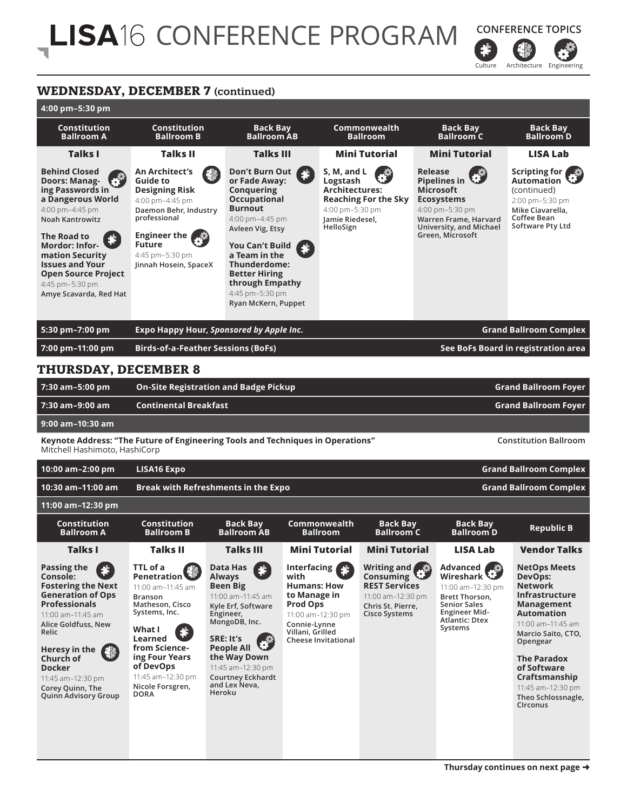

## **WEDNESDAY, DECEMBER 7 (continued)**

|  | 4:00 pm-5:30 pm |
|--|-----------------|
|  |                 |

| 4:00 pm-5:30 pm                                                                                                                                                         |                                                                                                                                                                                                                                            |                                                                                                                                              |                                                                                                                                                                                                                                                                                                                                          |                                                                                                                                                                                                                             |                                                                                                                                                                                                                           |  |  |
|-------------------------------------------------------------------------------------------------------------------------------------------------------------------------|--------------------------------------------------------------------------------------------------------------------------------------------------------------------------------------------------------------------------------------------|----------------------------------------------------------------------------------------------------------------------------------------------|------------------------------------------------------------------------------------------------------------------------------------------------------------------------------------------------------------------------------------------------------------------------------------------------------------------------------------------|-----------------------------------------------------------------------------------------------------------------------------------------------------------------------------------------------------------------------------|---------------------------------------------------------------------------------------------------------------------------------------------------------------------------------------------------------------------------|--|--|
| <b>Constitution</b><br><b>Ballroom B</b>                                                                                                                                |                                                                                                                                                                                                                                            |                                                                                                                                              |                                                                                                                                                                                                                                                                                                                                          | <b>Back Bay</b><br><b>Ballroom C</b>                                                                                                                                                                                        | <b>Back Bay</b><br><b>Ballroom D</b>                                                                                                                                                                                      |  |  |
| Talks II                                                                                                                                                                |                                                                                                                                                                                                                                            |                                                                                                                                              |                                                                                                                                                                                                                                                                                                                                          | <b>Mini Tutorial</b>                                                                                                                                                                                                        | <b>LISA Lab</b>                                                                                                                                                                                                           |  |  |
| An Architect's<br><b>Guide to</b><br><b>Designing Risk</b><br>4:00 pm-4:45 pm<br>professional<br>Engineer the<br><b>Future</b><br>4:45 pm-5:30 pm                       | <b>Conquering</b><br><b>Burnout</b>                                                                                                                                                                                                        | <b>GF</b>                                                                                                                                    | 5                                                                                                                                                                                                                                                                                                                                        | Release<br>G<br><b>Pipelines in</b><br><b>Microsoft</b><br><b>Ecosystems</b><br>4:00 pm-5:30 pm<br>Warren Frame, Harvard<br>University, and Michael<br>Green, Microsoft                                                     | Scripting for<br>Automation<br>(continued)<br>2:00 pm-5:30 pm<br>Mike Ciavarella.<br>Coffee Bean<br>Software Pty Ltd                                                                                                      |  |  |
|                                                                                                                                                                         |                                                                                                                                                                                                                                            |                                                                                                                                              |                                                                                                                                                                                                                                                                                                                                          |                                                                                                                                                                                                                             | <b>Grand Ballroom Complex</b>                                                                                                                                                                                             |  |  |
|                                                                                                                                                                         |                                                                                                                                                                                                                                            |                                                                                                                                              |                                                                                                                                                                                                                                                                                                                                          |                                                                                                                                                                                                                             |                                                                                                                                                                                                                           |  |  |
| <b>THURSDAY, DECEMBER 8</b>                                                                                                                                             |                                                                                                                                                                                                                                            |                                                                                                                                              |                                                                                                                                                                                                                                                                                                                                          |                                                                                                                                                                                                                             |                                                                                                                                                                                                                           |  |  |
|                                                                                                                                                                         | <b>On-Site Registration and Badge Pickup</b><br><b>Grand Ballroom Foyer</b>                                                                                                                                                                |                                                                                                                                              |                                                                                                                                                                                                                                                                                                                                          |                                                                                                                                                                                                                             |                                                                                                                                                                                                                           |  |  |
| <b>Continental Breakfast</b><br><b>Grand Ballroom Foyer</b>                                                                                                             |                                                                                                                                                                                                                                            |                                                                                                                                              |                                                                                                                                                                                                                                                                                                                                          |                                                                                                                                                                                                                             |                                                                                                                                                                                                                           |  |  |
|                                                                                                                                                                         |                                                                                                                                                                                                                                            |                                                                                                                                              |                                                                                                                                                                                                                                                                                                                                          |                                                                                                                                                                                                                             |                                                                                                                                                                                                                           |  |  |
| Keynote Address: "The Future of Engineering Tools and Techniques in Operations"<br><b>Constitution Ballroom</b><br>Mitchell Hashimoto, HashiCorp                        |                                                                                                                                                                                                                                            |                                                                                                                                              |                                                                                                                                                                                                                                                                                                                                          |                                                                                                                                                                                                                             |                                                                                                                                                                                                                           |  |  |
| <b>Grand Ballroom Complex</b><br><b>LISA16 Expo</b>                                                                                                                     |                                                                                                                                                                                                                                            |                                                                                                                                              |                                                                                                                                                                                                                                                                                                                                          |                                                                                                                                                                                                                             |                                                                                                                                                                                                                           |  |  |
| <b>Break with Refreshments in the Expo</b><br><b>Grand Ballroom Complex</b>                                                                                             |                                                                                                                                                                                                                                            |                                                                                                                                              |                                                                                                                                                                                                                                                                                                                                          |                                                                                                                                                                                                                             |                                                                                                                                                                                                                           |  |  |
|                                                                                                                                                                         |                                                                                                                                                                                                                                            |                                                                                                                                              |                                                                                                                                                                                                                                                                                                                                          |                                                                                                                                                                                                                             |                                                                                                                                                                                                                           |  |  |
| <b>Constitution</b><br><b>Ballroom B</b>                                                                                                                                | <b>Back Bay</b><br><b>Ballroom AB</b>                                                                                                                                                                                                      | Commonwealth<br>Ballroom                                                                                                                     |                                                                                                                                                                                                                                                                                                                                          | <b>Back Bay</b><br><b>Ballroom D</b>                                                                                                                                                                                        | <b>Republic B</b>                                                                                                                                                                                                         |  |  |
| Talks II                                                                                                                                                                | <b>Talks III</b>                                                                                                                                                                                                                           | Mini Tutorial                                                                                                                                |                                                                                                                                                                                                                                                                                                                                          | LISA Lab                                                                                                                                                                                                                    | <b>Vendor Talks</b>                                                                                                                                                                                                       |  |  |
| TTL of a<br>Penetration<br>11:00 am-11:45 am<br><b>Branson</b><br>Matheson, Cisco<br>Systems, Inc.<br>What I<br>Learned<br>from Science-<br>ing Four Years<br>of DevOps | Data Has<br><b>Always</b><br>Been Big<br>11:00 am-11:45 am<br>Kyle Erf. Software<br>Engineer,<br>MongoDB, Inc.<br>SRE: It's<br>$\mathbf{e}^{\alpha}$<br><b>People All</b><br>the Way Down<br>11:45 am-12:30 pm<br><b>Courtney Eckhardt</b> | Interfacing <sub>25</sub><br>with<br><b>Humans: How</b><br>to Manage in<br>Prod Ops<br>11:00 am-12:30 pm<br>Connie-Lynne<br>Villani, Grilled |                                                                                                                                                                                                                                                                                                                                          | Advanced <b>Advanced</b><br>Wireshark<br>11:00 am-12:30 pm<br>Brett Thorson,<br><b>Senior Sales</b><br>Engineer Mid-<br>Atlantic: Dtex<br>Systems                                                                           | <b>NetOps Meets</b><br>DevOps:<br><b>Network</b><br><b>Infrastructure</b><br>Management<br><b>Automation</b><br>11:00 am-11:45 am<br>Marcio Saito, CTO,<br>Opengear<br><b>The Paradox</b><br>of Software<br>Craftsmanship |  |  |
|                                                                                                                                                                         |                                                                                                                                                                                                                                            | Daemon Behr, Industry<br>Jinnah Hosein, SpaceX<br><b>Birds-of-a-Feather Sessions (BoFs)</b>                                                  | <b>Back Bay</b><br><b>Ballroom AB</b><br><b>Talks III</b><br>Don't Burn Out<br>or Fade Away:<br>Occupational<br>4:00 pm-4:45 pm<br>Avleen Vig, Etsy<br>You Can't Build<br>a Team in the<br>Thunderdome:<br><b>Better Hiring</b><br>through Empathy<br>4:45 pm-5:30 pm<br>Ryan McKern, Puppet<br>Expo Happy Hour, Sponsored by Apple Inc. | Commonwealth<br><b>Ballroom</b><br><b>Mini Tutorial</b><br>S, M, and L<br>Logstash<br><b>Architectures:</b><br><b>Reaching For the Sky</b><br>4:00 pm-5:30 pm<br>Jamie Riedesel,<br>HelloSign<br><b>Cheese Invitational</b> | See BoFs Board in registration area<br><b>Back Bay</b><br><b>Ballroom C</b><br>Mini Tutorial<br>Writing and<br>Consuming<br><b>REST Services</b><br>11:00 am-12:30 pm<br>Chris St. Pierre,<br>Cisco Systems               |  |  |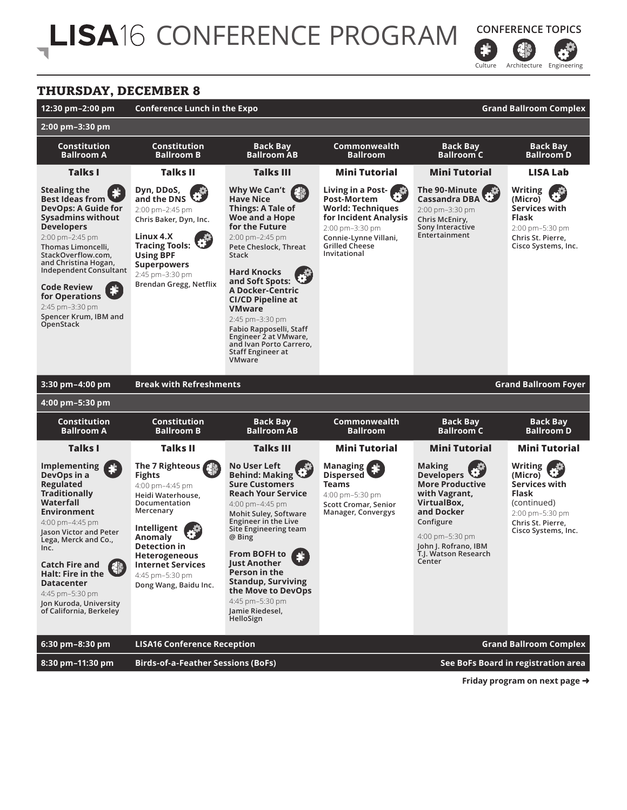

Culture Architecture Engineering

## **THURSDAY, DECEMBER 8**



**Friday program on next page** ➜